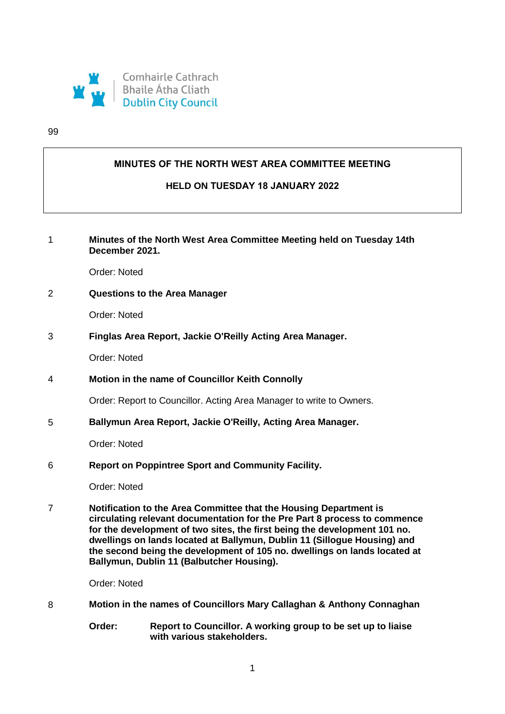

#### 99

### **MINUTES OF THE NORTH WEST AREA COMMITTEE MEETING**

### **HELD ON TUESDAY 18 JANUARY 2022**

# 1 **Minutes of the North West Area Committee Meeting held on Tuesday 14th December 2021.**

Order: Noted

### 2 **Questions to the Area Manager**

Order: Noted

3 **Finglas Area Report, Jackie O'Reilly Acting Area Manager.**

Order: Noted

4 **Motion in the name of Councillor Keith Connolly**

Order: Report to Councillor. Acting Area Manager to write to Owners.

5 **Ballymun Area Report, Jackie O'Reilly, Acting Area Manager.**

Order: Noted

6 **Report on Poppintree Sport and Community Facility.**

Order: Noted

7 **Notification to the Area Committee that the Housing Department is circulating relevant documentation for the Pre Part 8 process to commence for the development of two sites, the first being the development 101 no. dwellings on lands located at Ballymun, Dublin 11 (Sillogue Housing) and the second being the development of 105 no. dwellings on lands located at Ballymun, Dublin 11 (Balbutcher Housing).**

Order: Noted

- 8 **Motion in the names of Councillors Mary Callaghan & Anthony Connaghan**
	- **Order: Report to Councillor. A working group to be set up to liaise with various stakeholders.**